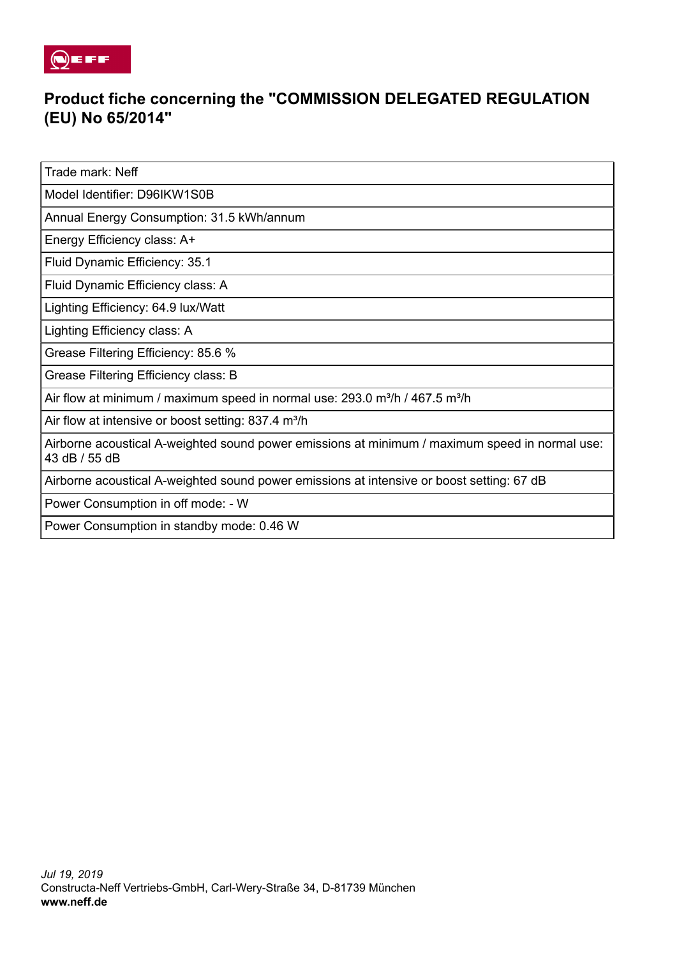

## **Product fiche concerning the "COMMISSION DELEGATED REGULATION (EU) No 65/2014"**

Trade mark: Neff

Model Identifier: D96IKW1S0B

Annual Energy Consumption: 31.5 kWh/annum

Energy Efficiency class: A+

Fluid Dynamic Efficiency: 35.1

Fluid Dynamic Efficiency class: A

Lighting Efficiency: 64.9 lux/Watt

Lighting Efficiency class: A

Grease Filtering Efficiency: 85.6 %

Grease Filtering Efficiency class: B

Air flow at minimum / maximum speed in normal use:  $293.0$  m<sup>3</sup>/h / 467.5 m<sup>3</sup>/h

Air flow at intensive or boost setting:  $837.4$  m<sup>3</sup>/h

Airborne acoustical A-weighted sound power emissions at minimum / maximum speed in normal use: 43 dB / 55 dB

Airborne acoustical A-weighted sound power emissions at intensive or boost setting: 67 dB

Power Consumption in off mode: - W

Power Consumption in standby mode: 0.46 W